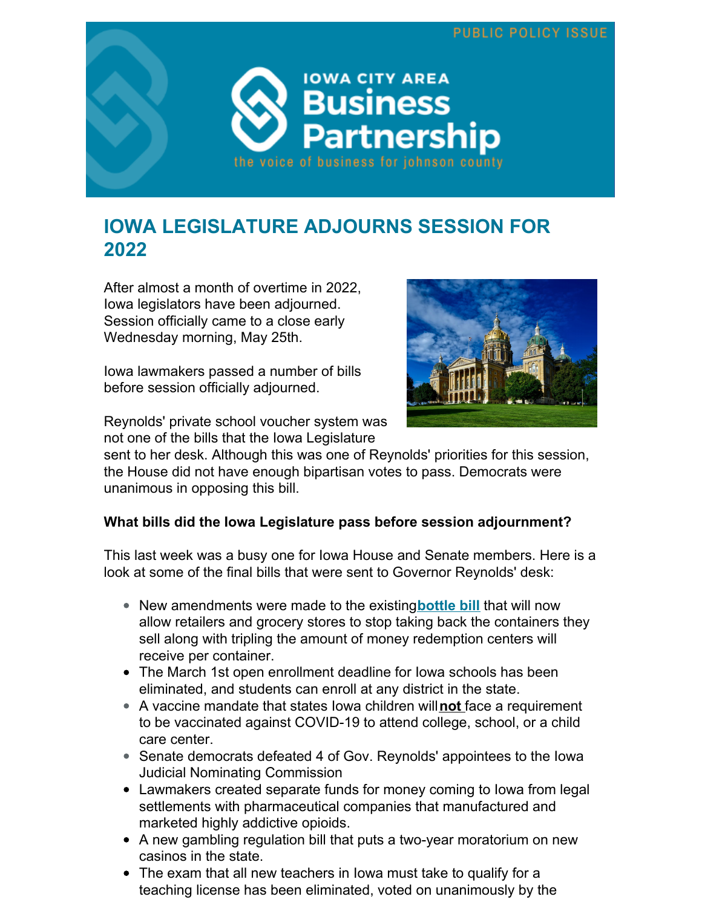

## **IOWA LEGISLATURE ADJOURNS SESSION FOR 2022**

After almost a month of overtime in 2022, Iowa legislators have been adjourned. Session officially came to a close early Wednesday morning, May 25th.

Iowa lawmakers passed a number of bills before session officially adjourned.



Reynolds' private school voucher system was not one of the bills that the Iowa Legislature

sent to her desk. Although this was one of Reynolds' priorities for this session, the House did not have enough bipartisan votes to pass. Democrats were unanimous in opposing this bill.

### **What bills did the Iowa Legislature pass before session adjournment?**

This last week was a busy one for Iowa House and Senate members. Here is a look at some of the final bills that were sent to Governor Reynolds' desk:

- New amendments were made to the existing**[bottle](https://iowacapitaldispatch.com/2022/05/23/bottle-bill-that-will-exempt-many-grocers-heads-to-governor/) bill** that will now allow retailers and grocery stores to stop taking back the containers they sell along with tripling the amount of money redemption centers will receive per container.
- The March 1st open enrollment deadline for Iowa schools has been eliminated, and students can enroll at any district in the state.
- A vaccine mandate that states Iowa children will**not** face a requirement to be vaccinated against COVID-19 to attend college, school, or a child care center.
- Senate democrats defeated 4 of Gov. Reynolds' appointees to the Iowa Judicial Nominating Commission
- Lawmakers created separate funds for money coming to Iowa from legal settlements with pharmaceutical companies that manufactured and marketed highly addictive opioids.
- A new gambling regulation bill that puts a two-year moratorium on new casinos in the state.
- The exam that all new teachers in Iowa must take to qualify for a teaching license has been eliminated, voted on unanimously by the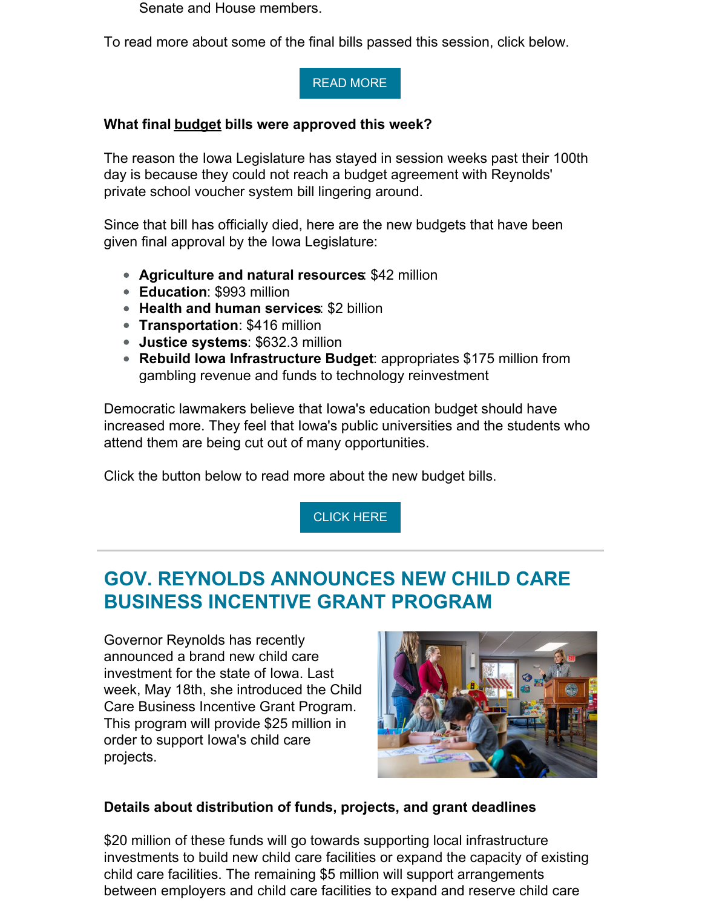Senate and House members.

To read more about some of the final bills passed this session, click below.

#### READ [MORE](https://iowacapitaldispatch.com/2022/05/25/lawmakers-eliminate-open-enrollment-deadline-before-session-adjournment/)

#### **What final budget bills were approved this week?**

The reason the Iowa Legislature has stayed in session weeks past their 100th day is because they could not reach a budget agreement with Reynolds' private school voucher system bill lingering around.

Since that bill has officially died, here are the new budgets that have been given final approval by the Iowa Legislature:

- **Agriculture and natural resources**: \$42 million
- **Education**: \$993 million
- **Health and human services**: \$2 billion
- **Transportation**: \$416 million
- **Justice systems**: \$632.3 million
- **Rebuild Iowa Infrastructure Budget**: appropriates \$175 million from gambling revenue and funds to technology reinvestment

Democratic lawmakers believe that Iowa's education budget should have increased more. They feel that Iowa's public universities and the students who attend them are being cut out of many opportunities.

Click the button below to read more about the new budget bills.

[CLICK](https://iowacapitaldispatch.com/2022/05/23/lawmakers-drop-private-school-scholarships-advance-budget-bills/) HERE

## **GOV. REYNOLDS ANNOUNCES NEW CHILD CARE BUSINESS INCENTIVE GRANT PROGRAM**

Governor Reynolds has recently announced a brand new child care investment for the state of Iowa. Last week, May 18th, she introduced the Child Care Business Incentive Grant Program. This program will provide \$25 million in order to support Iowa's child care projects.



### **Details about distribution of funds, projects, and grant deadlines**

\$20 million of these funds will go towards supporting local infrastructure investments to build new child care facilities or expand the capacity of existing child care facilities. The remaining \$5 million will support arrangements between employers and child care facilities to expand and reserve child care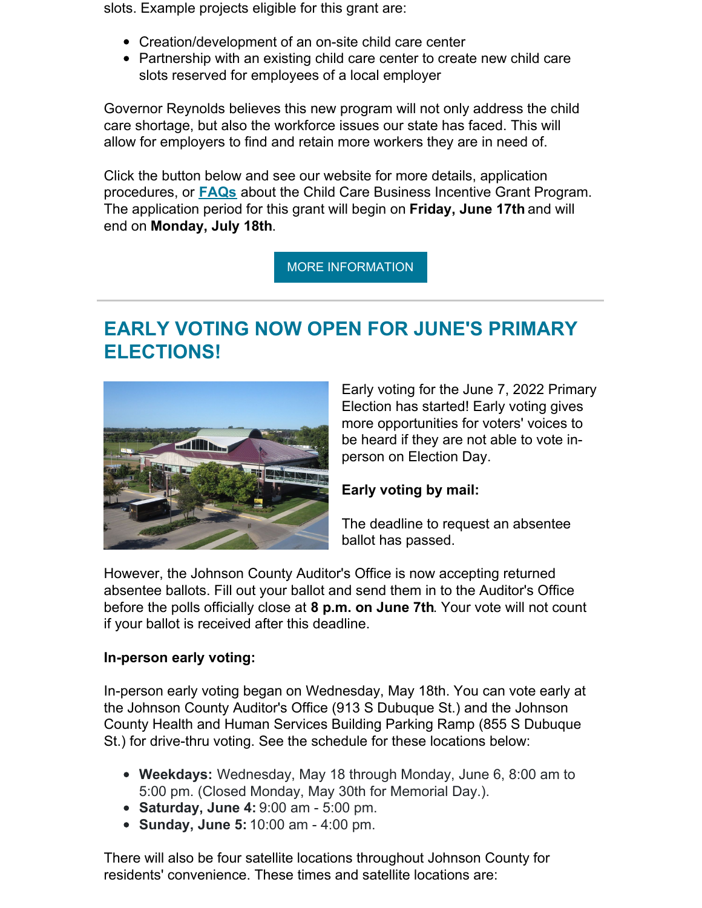slots. Example projects eligible for this grant are:

- Creation/development of an on-site child care center
- Partnership with an existing child care center to create new child care slots reserved for employees of a local employer

Governor Reynolds believes this new program will not only address the child care shortage, but also the workforce issues our state has faced. This will allow for employers to find and retain more workers they are in need of.

Click the button below and see our website for more details, application procedures, or **[FAQs](https://www.futurereadyiowa.gov/sites/fri/files/basic_page_files/Appendix B_Frequently Asked Questions_2022 Child Care Business Incentive Grant_0_0.pdf)** about the Child Care Business Incentive Grant Program. The application period for this grant will begin on **Friday, June 17th** and will end on **Monday, July 18th**.

MORE [INFORMATION](https://iowacityarea.com/child-care-grant/)

## **EARLY VOTING NOW OPEN FOR JUNE'S PRIMARY ELECTIONS!**



Early voting for the June 7, 2022 Primary Election has started! Early voting gives more opportunities for voters' voices to be heard if they are not able to vote inperson on Election Day.

### **Early voting by mail:**

The deadline to request an absentee ballot has passed.

However, the Johnson County Auditor's Office is now accepting returned absentee ballots. Fill out your ballot and send them in to the Auditor's Office before the polls officially close at **8 p.m. on June 7th**. Your vote will not count if your ballot is received after this deadline.

### **In-person early voting:**

In-person early voting began on Wednesday, May 18th. You can vote early at the Johnson County Auditor's Office (913 S Dubuque St.) and the Johnson County Health and Human Services Building Parking Ramp (855 S Dubuque St.) for drive-thru voting. See the schedule for these locations below:

- **Weekdays:** Wednesday, May 18 through Monday, June 6, 8:00 am to 5:00 pm. (Closed Monday, May 30th for Memorial Day.).
- **Saturday, June 4:** 9:00 am 5:00 pm.
- **Sunday, June 5:** 10:00 am 4:00 pm.

There will also be four satellite locations throughout Johnson County for residents' convenience. These times and satellite locations are: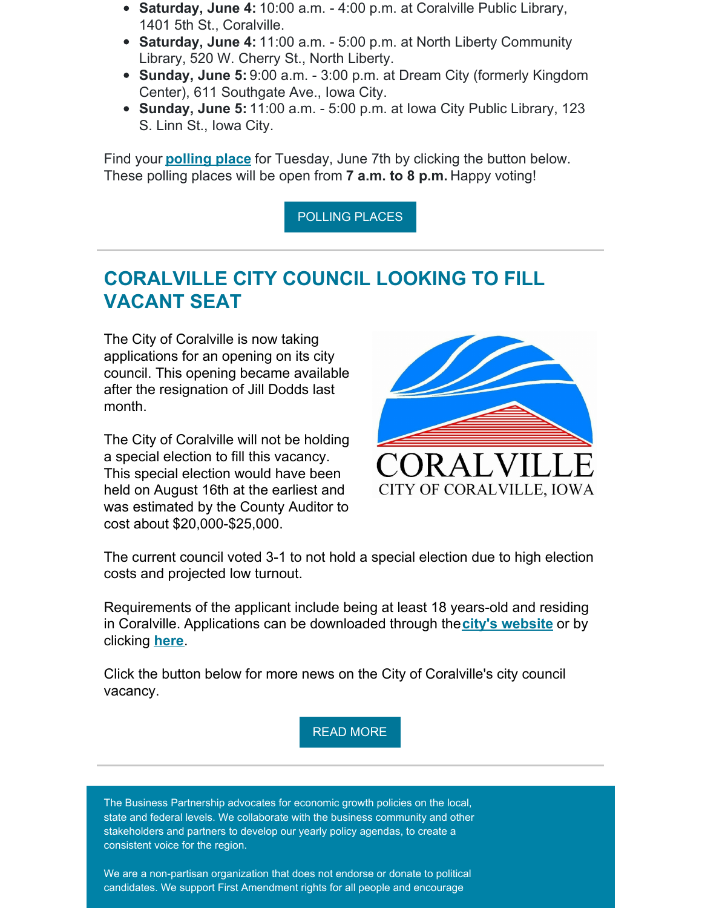- **Saturday, June 4:** 10:00 a.m. 4:00 p.m. at Coralville Public Library, 1401 5th St., Coralville.
- **Saturday, June 4:** 11:00 a.m. 5:00 p.m. at North Liberty Community Library, 520 W. Cherry St., North Liberty.
- **Sunday, June 5:** 9:00 a.m. 3:00 p.m. at Dream City (formerly Kingdom Center), 611 Southgate Ave., Iowa City.
- **Sunday, June 5:** 11:00 a.m. 5:00 p.m. at Iowa City Public Library, 123 S. Linn St., Iowa City.

Find your **[polling](https://www.johnsoncountyiowa.gov/auditor/polling-places) place** for Tuesday, June 7th by clicking the button below. These polling places will be open from **7 a.m. to 8 p.m.** Happy voting!

[POLLING](https://www.johnsoncountyiowa.gov/auditor/polling-places) PLACES

### **CORALVILLE CITY COUNCIL LOOKING TO FILL VACANT SEAT**

The City of Coralville is now taking applications for an opening on its city council. This opening became available after the resignation of Jill Dodds last month.

The City of Coralville will not be holding a special election to fill this vacancy. This special election would have been held on August 16th at the earliest and was estimated by the County Auditor to cost about \$20,000-\$25,000.



The current council voted 3-1 to not hold a special election due to high election costs and projected low turnout.

Requirements of the applicant include being at least 18 years-old and residing in Coralville. Applications can be downloaded through the**city's [website](https://www.coralville.org/)** or by clicking **[here](https://www.coralville.org/DocumentCenter/View/10570/Coralville-City-Council-Application-Form-2022?bidId=)**.

Click the button below for more news on the City of Coralville's city council vacancy.

READ [MORE](https://littlevillagemag.com/coralville-taking-applications-to-fill-the-vacant-seat-on-its-city-council/)

The Business Partnership advocates for economic growth policies on the local, state and federal levels. We collaborate with the business community and other stakeholders and partners to develop our yearly policy agendas, to create a consistent voice for the region.

We are a non-partisan organization that does not endorse or donate to political candidates. We support First Amendment rights for all people and encourage